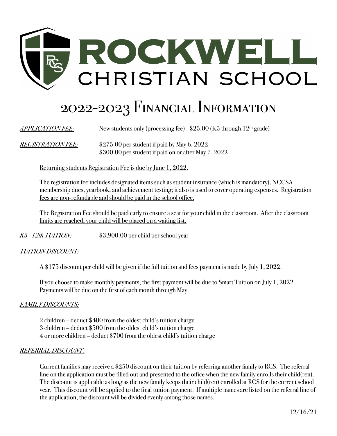

# 2022-2023 Financial Information

*APPLICATION FEE:* New students only (processing fee) - \$25.00 (K5 through 12<sup>th</sup> grade)

*REGISTRATION FEE:* \$275.00 per student if paid by May 6, 2022 \$300.00 per student if paid on or after May 7, 2022

Returning students Registration Fee is due by June 1, 2022.

The registration fee includes designated items such as student insurance (which is mandatory), NCCSA membership dues, yearbook, and achievement testing; it also is used to cover operating expenses. Registration fees are non-refundable and should be paid in the school office.

The Registration Fee should be paid early to ensure a seat for your child in the classroom. After the classroom limits are reached, your child will be placed on a waiting list.

*K5 - 12th TUITION:* \$3,900.00 per child per school year

# *TUITION DISCOUNT:*

A \$175 discount per child will be given if the full tuition and fees payment is made by July 1, 2022.

If you choose to make monthly payments, the first payment will be due to Smart Tuition on July 1, 2022. Payments will be due on the first of each month through May.

# *FAMILY DISCOUNTS:*

2 children – deduct \$400 from the oldest child's tuition charge 3 children – deduct \$500 from the oldest child's tuition charge 4 or more children – deduct \$700 from the oldest child's tuition charge

#### *REFERRAL DISCOUNT:*

Current families may receive a \$250 discount on their tuition by referring another family to RCS. The referral line on the application must be filled out and presented to the office when the new family enrolls their child(ren). The discount is applicable as long as the new family keeps their child(ren) enrolled at RCS for the current school year. This discount will be applied to the final tuition payment. If multiple names are listed on the referral line of the application, the discount will be divided evenly among those names.